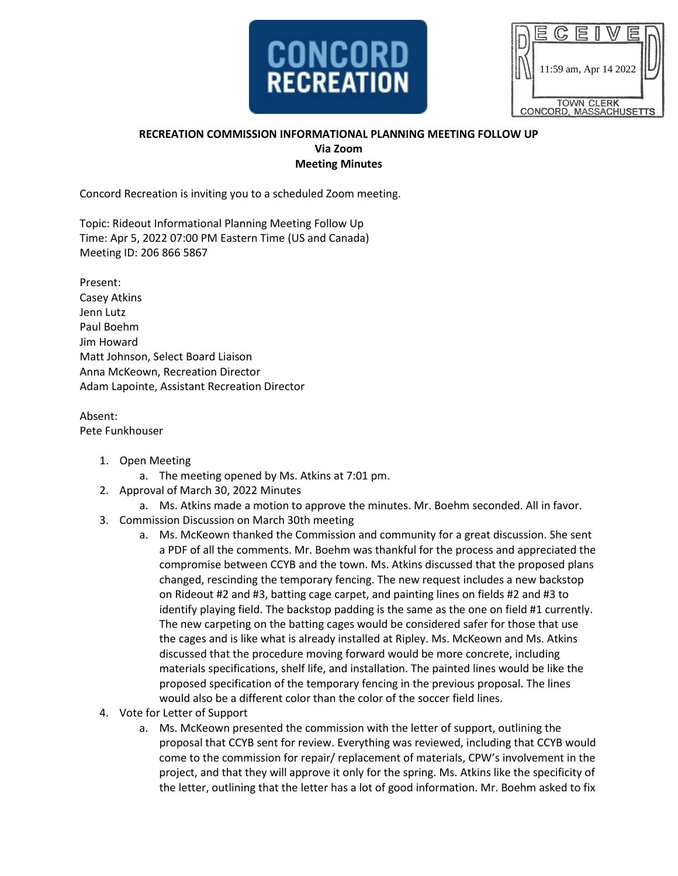

|                                             | 11:59 am, Apr 14 2022 |  |  |  |  |  |  |
|---------------------------------------------|-----------------------|--|--|--|--|--|--|
|                                             |                       |  |  |  |  |  |  |
| <b>TOWN CLERK</b><br>CONCORD, MASSACHUSETTS |                       |  |  |  |  |  |  |

## **RECREATION COMMISSION INFORMATIONAL PLANNING MEETING FOLLOW UP Via Zoom Meeting Minutes**

Concord Recreation is inviting you to a scheduled Zoom meeting.

Topic: Rideout Informational Planning Meeting Follow Up Time: Apr 5, 2022 07:00 PM Eastern Time (US and Canada) Meeting ID: 206 866 5867

Present: Casey Atkins Jenn Lutz Paul Boehm Jim Howard Matt Johnson, Select Board Liaison Anna McKeown, Recreation Director Adam Lapointe, Assistant Recreation Director

Absent: Pete Funkhouser

- 1. Open Meeting
	- a. The meeting opened by Ms. Atkins at 7:01 pm.
- 2. Approval of March 30, 2022 Minutes
	- a. Ms. Atkins made a motion to approve the minutes. Mr. Boehm seconded. All in favor.
- 3. Commission Discussion on March 30th meeting
	- a. Ms. McKeown thanked the Commission and community for a great discussion. She sent a PDF of all the comments. Mr. Boehm was thankful for the process and appreciated the compromise between CCYB and the town. Ms. Atkins discussed that the proposed plans changed, rescinding the temporary fencing. The new request includes a new backstop on Rideout #2 and #3, batting cage carpet, and painting lines on fields #2 and #3 to identify playing field. The backstop padding is the same as the one on field #1 currently. The new carpeting on the batting cages would be considered safer for those that use the cages and is like what is already installed at Ripley. Ms. McKeown and Ms. Atkins discussed that the procedure moving forward would be more concrete, including materials specifications, shelf life, and installation. The painted lines would be like the proposed specification of the temporary fencing in the previous proposal. The lines would also be a different color than the color of the soccer field lines.
- 4. Vote for Letter of Support
	- a. Ms. McKeown presented the commission with the letter of support, outlining the proposal that CCYB sent for review. Everything was reviewed, including that CCYB would come to the commission for repair/ replacement of materials, CPW's involvement in the project, and that they will approve it only for the spring. Ms. Atkins like the specificity of the letter, outlining that the letter has a lot of good information. Mr. Boehm asked to fix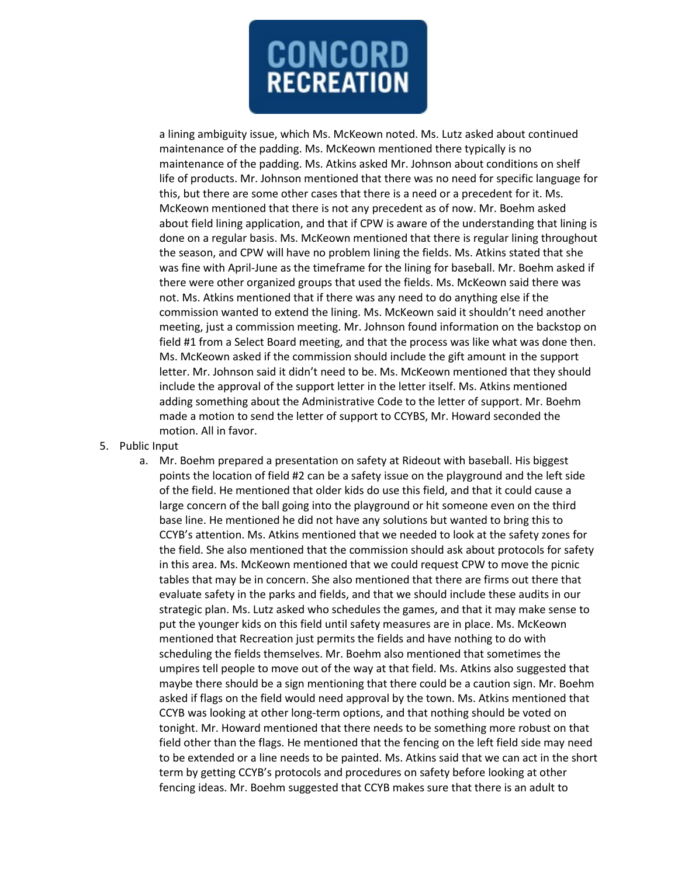

a lining ambiguity issue, which Ms. McKeown noted. Ms. Lutz asked about continued maintenance of the padding. Ms. McKeown mentioned there typically is no maintenance of the padding. Ms. Atkins asked Mr. Johnson about conditions on shelf life of products. Mr. Johnson mentioned that there was no need for specific language for this, but there are some other cases that there is a need or a precedent for it. Ms. McKeown mentioned that there is not any precedent as of now. Mr. Boehm asked about field lining application, and that if CPW is aware of the understanding that lining is done on a regular basis. Ms. McKeown mentioned that there is regular lining throughout the season, and CPW will have no problem lining the fields. Ms. Atkins stated that she was fine with April-June as the timeframe for the lining for baseball. Mr. Boehm asked if there were other organized groups that used the fields. Ms. McKeown said there was not. Ms. Atkins mentioned that if there was any need to do anything else if the commission wanted to extend the lining. Ms. McKeown said it shouldn't need another meeting, just a commission meeting. Mr. Johnson found information on the backstop on field #1 from a Select Board meeting, and that the process was like what was done then. Ms. McKeown asked if the commission should include the gift amount in the support letter. Mr. Johnson said it didn't need to be. Ms. McKeown mentioned that they should include the approval of the support letter in the letter itself. Ms. Atkins mentioned adding something about the Administrative Code to the letter of support. Mr. Boehm made a motion to send the letter of support to CCYBS, Mr. Howard seconded the motion. All in favor.

- 5. Public Input
	- a. Mr. Boehm prepared a presentation on safety at Rideout with baseball. His biggest points the location of field #2 can be a safety issue on the playground and the left side of the field. He mentioned that older kids do use this field, and that it could cause a large concern of the ball going into the playground or hit someone even on the third base line. He mentioned he did not have any solutions but wanted to bring this to CCYB's attention. Ms. Atkins mentioned that we needed to look at the safety zones for the field. She also mentioned that the commission should ask about protocols for safety in this area. Ms. McKeown mentioned that we could request CPW to move the picnic tables that may be in concern. She also mentioned that there are firms out there that evaluate safety in the parks and fields, and that we should include these audits in our strategic plan. Ms. Lutz asked who schedules the games, and that it may make sense to put the younger kids on this field until safety measures are in place. Ms. McKeown mentioned that Recreation just permits the fields and have nothing to do with scheduling the fields themselves. Mr. Boehm also mentioned that sometimes the umpires tell people to move out of the way at that field. Ms. Atkins also suggested that maybe there should be a sign mentioning that there could be a caution sign. Mr. Boehm asked if flags on the field would need approval by the town. Ms. Atkins mentioned that CCYB was looking at other long-term options, and that nothing should be voted on tonight. Mr. Howard mentioned that there needs to be something more robust on that field other than the flags. He mentioned that the fencing on the left field side may need to be extended or a line needs to be painted. Ms. Atkins said that we can act in the short term by getting CCYB's protocols and procedures on safety before looking at other fencing ideas. Mr. Boehm suggested that CCYB makes sure that there is an adult to